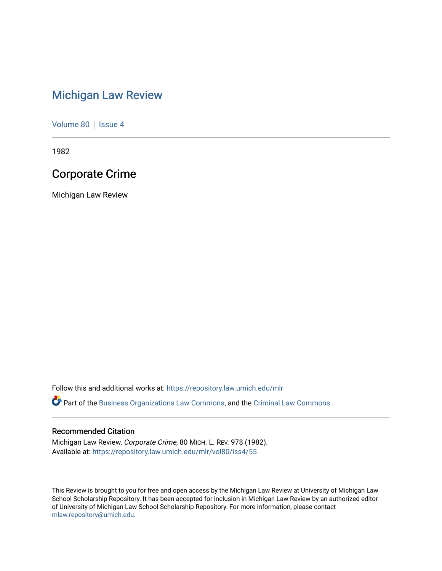## [Michigan Law Review](https://repository.law.umich.edu/mlr)

[Volume 80](https://repository.law.umich.edu/mlr/vol80) | [Issue 4](https://repository.law.umich.edu/mlr/vol80/iss4)

1982

## Corporate Crime

Michigan Law Review

Follow this and additional works at: [https://repository.law.umich.edu/mlr](https://repository.law.umich.edu/mlr?utm_source=repository.law.umich.edu%2Fmlr%2Fvol80%2Fiss4%2F55&utm_medium=PDF&utm_campaign=PDFCoverPages) 

Part of the [Business Organizations Law Commons](http://network.bepress.com/hgg/discipline/900?utm_source=repository.law.umich.edu%2Fmlr%2Fvol80%2Fiss4%2F55&utm_medium=PDF&utm_campaign=PDFCoverPages), and the [Criminal Law Commons](http://network.bepress.com/hgg/discipline/912?utm_source=repository.law.umich.edu%2Fmlr%2Fvol80%2Fiss4%2F55&utm_medium=PDF&utm_campaign=PDFCoverPages) 

## Recommended Citation

Michigan Law Review, Corporate Crime, 80 MICH. L. REV. 978 (1982). Available at: [https://repository.law.umich.edu/mlr/vol80/iss4/55](https://repository.law.umich.edu/mlr/vol80/iss4/55?utm_source=repository.law.umich.edu%2Fmlr%2Fvol80%2Fiss4%2F55&utm_medium=PDF&utm_campaign=PDFCoverPages) 

This Review is brought to you for free and open access by the Michigan Law Review at University of Michigan Law School Scholarship Repository. It has been accepted for inclusion in Michigan Law Review by an authorized editor of University of Michigan Law School Scholarship Repository. For more information, please contact [mlaw.repository@umich.edu.](mailto:mlaw.repository@umich.edu)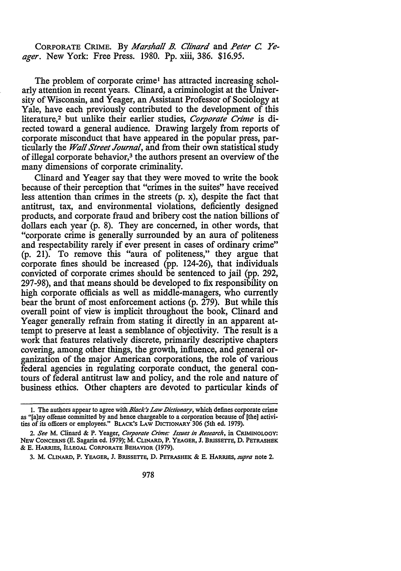CORPORATE CRIME. By *Marshall B. Clinard* and *Peter C. Yeager.* New York: Free Press. 1980. Pp. xiii, 386. \$16.95.

The problem of corporate crime<sup>1</sup> has attracted increasing scholarly attention in recent years. Clinard, a criminologist at the University of Wisconsin, and Yeager, an Assistant Professor of Sociology at Yale, have each previously contributed to the development of this literature,<sup>2</sup> but unlike their earlier studies, *Corporate Crime* is directed toward a general audience. Drawing largely from reports of corporate misconduct that have appeared in the popular press, particularly the *Wall Street Journal,* and from their own statistical study of illegal corporate behavior,<sup>3</sup> the authors present an overview of the many dimensions of corporate criminality.

Clinard and Yeager say that they were moved to write the book because of their perception that "crimes in the suites" have received less attention than crimes in the streets (p. x), despite the fact that antitrust, tax, and environmental violations, deficiently designed products, and corporate fraud and bribery cost the nation billions of dollars each year (p. 8). They are concerned, in other words, that "corporate crime is generally surrounded by an aura of politeness and respectability rarely if ever present in cases of ordinary crime" (p. 21). To remove this "aura of politeness," they argue that corporate fines should be increased (pp. 124-26), that individuals convicted of corporate crimes should be sentenced to jail (pp. 292, 297-98), and that means should be developed to fix responsibility on high corporate officials as well as middle-managers, who currently bear the brunt of most enforcement actions (p. 279). But while this overall point of view is implicit throughout the book, Clinard and Yeager generally refrain from stating it directly in an apparent attempt to preserve at least a semblance of objectivity. The result is a work that features relatively discrete, primarily descriptive chapters covering, among other things, the growth, influence, and general organization of the major American corporations, the role of various federal agencies in regulating corporate conduct, the general contours of federal antitrust law and policy, and the role and nature of business ethics. Other chapters are devoted to particular kinds of

<sup>1.</sup> The authors appear to agree with *Black's Law Dictionary*, which defines corporate crime as "[a]ny offense committed by and hence chargeable to a corporation because of [the] activities of its officers or employees." BLACK'S LAW DICTIONARY 306 (5th ed. 1979).

<sup>2.</sup> *See* M. Clinard & P. Yeager, *Corporate Crime: Issues in Research,* in CRIMINOLOGY: NEW CONCERNS (E. Sagarin ed. 1979); M. CLINARD, P. YEAGER, J. BRISSETTE, D. PETRASHEK & E. HARRIES, ILLEGAL CORPORATE BEHAVIOR (1979).

<sup>3.</sup> M. CLINARD, P. YEAGER, J. BRISSETTE, D. PETRASHEK & E. HARRIES, *supra* note 2.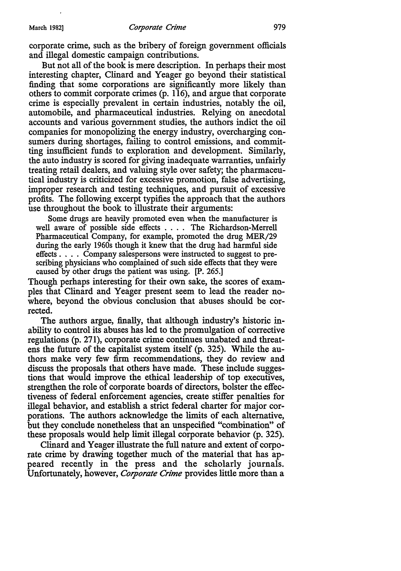corporate crime, such as the bribery of foreign government officials and illegal domestic campaign contributions.

But not all of the book is mere description. In perhaps their most interesting chapter, Clinard and Yeager go beyond their statistical finding that some corporations are significantly more likely than others to commit corporate crimes (p. 116), and argue that corporate crime is especially prevalent in certain industries, notably the oil, automobile, and pharmaceutical industries. Relying on anecdotal accounts and various government studies, the authors indict the oil companies for monopolizing the energy industry, overcharging consumers during shortages, failing to control emissions, and committing insufficient funds to exploration and development. Similarly, the auto industry is scored for giving inadequate warranties, unfairly treating retail dealers, and valuing style over safety; the pharmaceutical industry is criticized for excessive promotion, false advertising, improper research and testing techniques, and pursuit of excessive profits. The following excerpt typifies the approach that the authors use throughout the book to illustrate their arguments:

Some drugs are heavily promoted even when the manufacturer is well aware of possible side effects .... The Richardson-Merrell Pharmaceutical Company, for example, promoted the drug MER/29 during the early 1960s though it knew that the drug had harmful side effects . . . . Company salespersons were instructed to suggest to prescribing physicians who complained of such side effects that they were caused by other drugs the patient was using. [P. 265.]

Though perhaps interesting for their own sake, the scores of examples that Clinard and Yeager present seem to lead the reader nowhere, beyond the obvious conclusion that abuses should be corrected.

The authors argue, finally, that although industry's historic inability to control its abuses has led to the promulgation of corrective regulations (p. 271), corporate crime continues unabated and threatens the future of the capitalist system itself (p. 325). While the authors make very few firm recommendations, they do review and discuss the proposals that others have made. These include suggestions that would improve the ethical leadership of top executives, strengthen the role of corporate boards of directors, bolster the effectiveness of federal enforcement agencies, create stiffer penalties for illegal behavior, and establish a strict federal charter for major corporations. The authors acknowledge the limits of each alternative, but they conclude nonetheless that an unspecified "combination" of these proposals would help limit illegal corporate behavior (p. 325).

Clinard and Yeager illustrate the full nature and extent of corporate crime by drawing together much of the material that has appeared recently in the press and the scholarly journals. Unfortunately, however, *Corporate Crime* provides little more than a